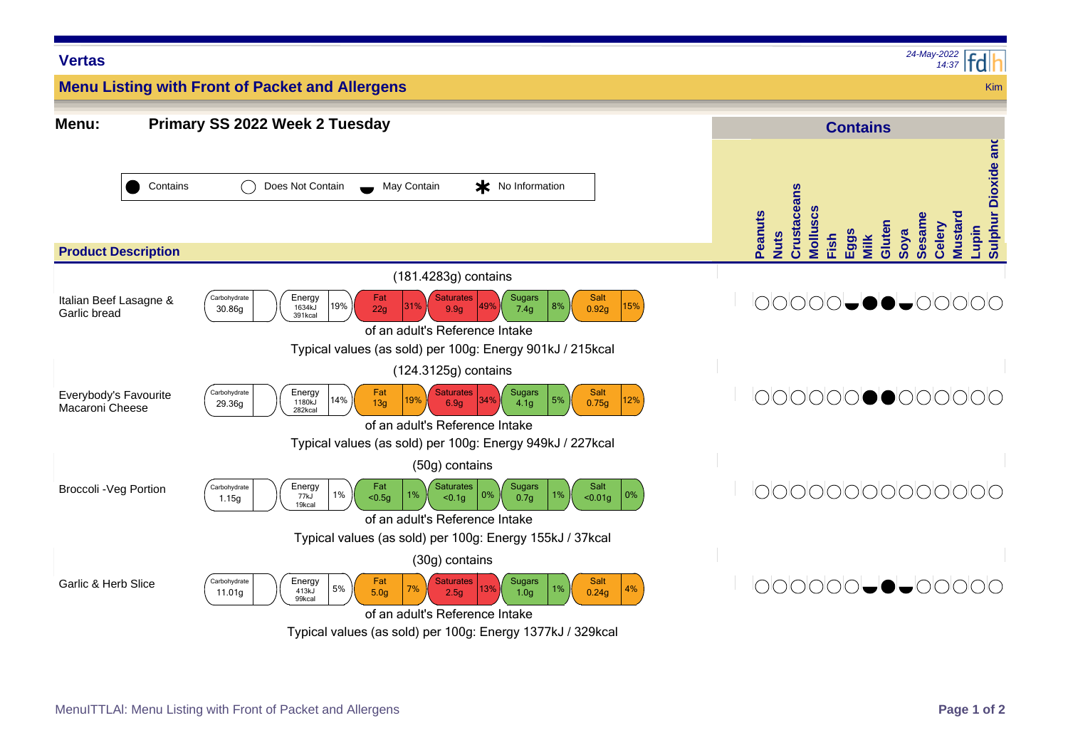